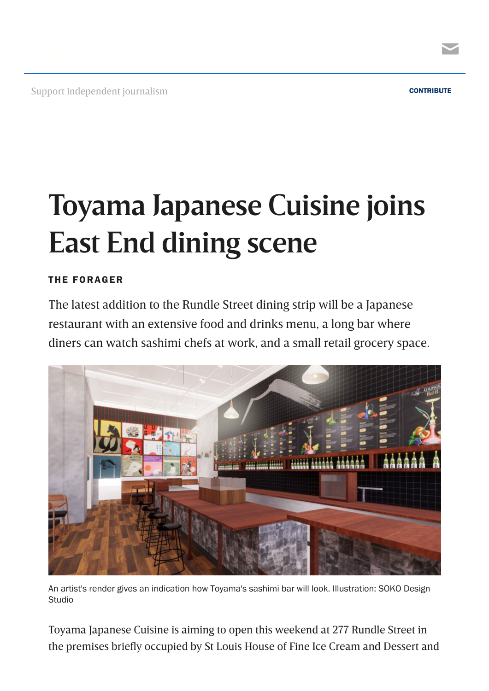

Support independent journalism [CONTRIBUTE](https://indaily.com.au/support-indaily/?utm_source=website%20header&utm_medium=press%20patron&utm_campaign=contribute%20blue) CONTRIBUTE



## **Toyama Japanese Cuisine joins East End dining scene**

## THE [FORAGER](https://indaily.com.au/eat-drink-explore/the-forager/)

The latest addition to the Rundle Street dining strip will be a Japanese restaurant with an extensive food and drinks menu, a long bar where diners can watch sashimi chefs at work, and a small retail grocery space.



An artist's render gives an indication how Toyama's sashimi bar will look. Illustration: SOKO Design **Studio** 

Toyama Japanese Cuisine is aiming to open this weekend at 277 Rundle Street in the premises briefly occupied by St Louis House of Fine Ice Cream and Dessert and

 $\blacktriangleright$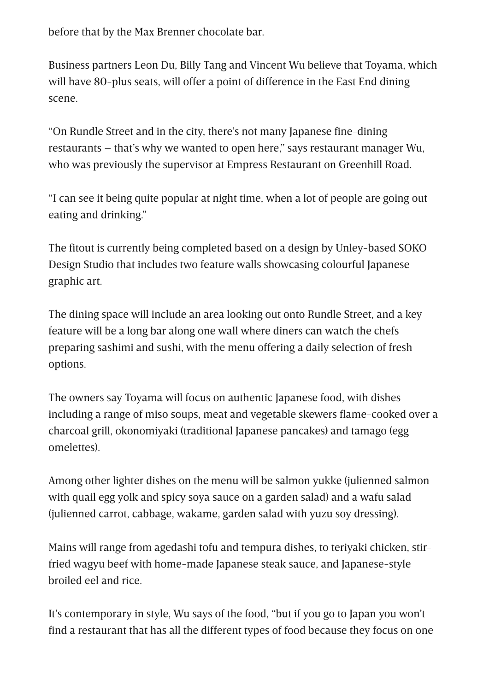before that by the Max Brenner chocolate bar.

Business partners Leon Du, Billy Tang and Vincent Wu believe that Toyama, which will have 80-plus seats, will offer a point of difference in the East End dining scene.

"On Rundle Street and in the city, there's not many Japanese fine-dining restaurants – that's why we wanted to open here," says restaurant manager Wu, who was previously the supervisor at Empress Restaurant on Greenhill Road.

"I can see it being quite popular at night time, when a lot of people are going out eating and drinking."

The fitout is currently being completed based on a design by Unley-based SOKO Design Studio that includes two feature walls showcasing colourful Japanese graphic art.

The dining space will include an area looking out onto Rundle Street, and a key feature will be a long bar along one wall where diners can watch the chefs preparing sashimi and sushi, with the menu offering a daily selection of fresh options.

The owners say Toyama will focus on authentic Japanese food, with dishes including a range of miso soups, meat and vegetable skewers flame-cooked over a charcoal grill, okonomiyaki (traditional Japanese pancakes) and tamago (egg omelettes).

Among other lighter dishes on the menu will be salmon yukke (julienned salmon with quail egg yolk and spicy soya sauce on a garden salad) and a wafu salad (julienned carrot, cabbage, wakame, garden salad with yuzu soy dressing).

Mains will range from agedashi tofu and tempura dishes, to teriyaki chicken, stirfried wagyu beef with home-made Japanese steak sauce, and Japanese-style broiled eel and rice.

It's contemporary in style, Wu says of the food, "but if you go to Japan you won't find a restaurant that has all the different types of food because they focus on one